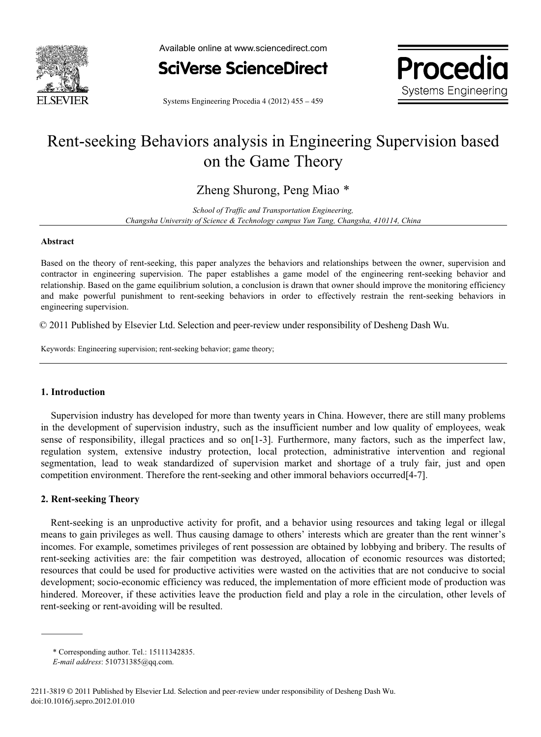

Available online at www.sciencedirect.com





Systems Engineering Procedia 4 (2012) 455 – 459

# Rent-seeking Behaviors analysis in Engineering Supervision based on the Game Theory

### Zheng Shurong, Peng Miao \*

*School of Traffic and Transportation Engineering, Changsha University of Science & Technology campus Yun Tang, Changsha, 410114, China*

#### **Abstract**

Based on the theory of rent-seeking, this paper analyzes the behaviors and relationships between the owner, supervision and contractor in engineering supervision. The paper establishes a game model of the engineering rent-seeking behavior and relationship. Based on the game equilibrium solution, a conclusion is drawn that owner should improve the monitoring efficiency and make powerful punishment to rent-seeking behaviors in order to effectively restrain the rent-seeking behaviors in engineering supervision.

© 2011 Published by Elsevier Ltd. Selection and peer-review under responsibility of Desheng Dash Wu. © 2011 Published by Elsevier Ltd. Selection and peer-review under responsibility of Desheng Dash Wu.

Keywords: Engineering supervision; rent-seeking behavior; game theory;

#### **1. Introduction**

Supervision industry has developed for more than twenty years in China. However, there are still many problems in the development of supervision industry, such as the insufficient number and low quality of employees, weak sense of responsibility, illegal practices and so on[1-3]. Furthermore, many factors, such as the imperfect law, regulation system, extensive industry protection, local protection, administrative intervention and regional segmentation, lead to weak standardized of supervision market and shortage of a truly fair, just and open competition environment. Therefore the rent-seeking and other immoral behaviors occurred[4-7].

#### **2. Rent-seeking Theory**

Rent-seeking is an unproductive activity for profit, and a behavior using resources and taking legal or illegal means to gain privileges as well. Thus causing damage to others' interests which are greater than the rent winner's incomes. For example, sometimes privileges of rent possession are obtained by lobbying and bribery. The results of rent-seeking activities are: the fair competition was destroyed, allocation of economic resources was distorted; resources that could be used for productive activities were wasted on the activities that are not conducive to social development; socio-economic efficiency was reduced, the implementation of more efficient mode of production was hindered. Moreover, if these activities leave the production field and play a role in the circulation, other levels of rent-seeking or rent-avoiding will be resulted.

<sup>\*</sup> Corresponding author. Tel.: 15111342835.

*E-mail address*: 510731385@qq.com.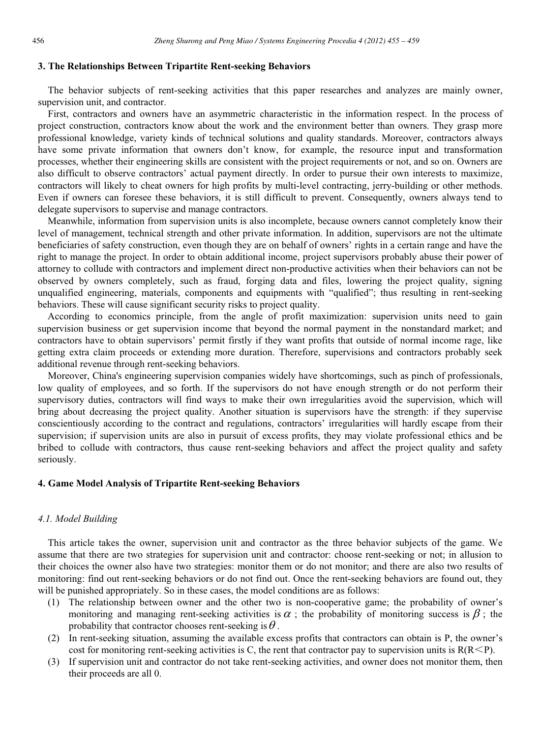#### **3. The Relationships Between Tripartite Rent-seeking Behaviors**

The behavior subjects of rent-seeking activities that this paper researches and analyzes are mainly owner, supervision unit, and contractor.

First, contractors and owners have an asymmetric characteristic in the information respect. In the process of project construction, contractors know about the work and the environment better than owners. They grasp more professional knowledge, variety kinds of technical solutions and quality standards. Moreover, contractors always have some private information that owners don't know, for example, the resource input and transformation processes, whether their engineering skills are consistent with the project requirements or not, and so on. Owners are also difficult to observe contractors' actual payment directly. In order to pursue their own interests to maximize, contractors will likely to cheat owners for high profits by multi-level contracting, jerry-building or other methods. Even if owners can foresee these behaviors, it is still difficult to prevent. Consequently, owners always tend to delegate supervisors to supervise and manage contractors.

Meanwhile, information from supervision units is also incomplete, because owners cannot completely know their level of management, technical strength and other private information. In addition, supervisors are not the ultimate beneficiaries of safety construction, even though they are on behalf of owners' rights in a certain range and have the right to manage the project. In order to obtain additional income, project supervisors probably abuse their power of attorney to collude with contractors and implement direct non-productive activities when their behaviors can not be observed by owners completely, such as fraud, forging data and files, lowering the project quality, signing unqualified engineering, materials, components and equipments with "qualified"; thus resulting in rent-seeking behaviors. These will cause significant security risks to project quality.

According to economics principle, from the angle of profit maximization: supervision units need to gain supervision business or get supervision income that beyond the normal payment in the nonstandard market; and contractors have to obtain supervisors' permit firstly if they want profits that outside of normal income rage, like getting extra claim proceeds or extending more duration. Therefore, supervisions and contractors probably seek additional revenue through rent-seeking behaviors.

Moreover, China's engineering supervision companies widely have shortcomings, such as pinch of professionals, low quality of employees, and so forth. If the supervisors do not have enough strength or do not perform their supervisory duties, contractors will find ways to make their own irregularities avoid the supervision, which will bring about decreasing the project quality. Another situation is supervisors have the strength: if they supervise conscientiously according to the contract and regulations, contractors' irregularities will hardly escape from their supervision; if supervision units are also in pursuit of excess profits, they may violate professional ethics and be bribed to collude with contractors, thus cause rent-seeking behaviors and affect the project quality and safety seriously.

#### **4. Game Model Analysis of Tripartite Rent-seeking Behaviors**

#### *4.1. Model Building*

This article takes the owner, supervision unit and contractor as the three behavior subjects of the game. We assume that there are two strategies for supervision unit and contractor: choose rent-seeking or not; in allusion to their choices the owner also have two strategies: monitor them or do not monitor; and there are also two results of monitoring: find out rent-seeking behaviors or do not find out. Once the rent-seeking behaviors are found out, they will be punished appropriately. So in these cases, the model conditions are as follows:

- (1) The relationship between owner and the other two is non-cooperative game; the probability of owner's monitoring and managing rent-seeking activities is  $\alpha$ ; the probability of monitoring success is  $\beta$ ; the probability that contractor chooses rent-seeking is  $\theta$ .
- (2) In rent-seeking situation, assuming the available excess profits that contractors can obtain is P, the owner's cost for monitoring rent-seeking activities is C, the rent that contractor pay to supervision units is  $R(R \le P)$ .
- (3) If supervision unit and contractor do not take rent-seeking activities, and owner does not monitor them, then their proceeds are all 0.